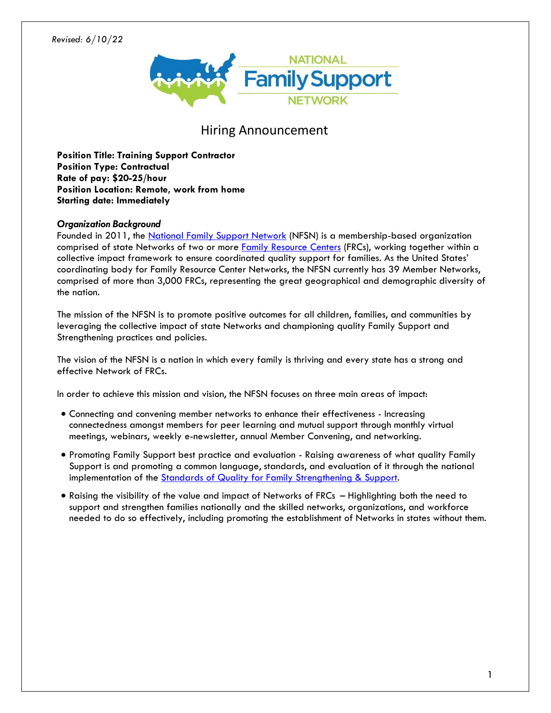### *Revised: 6/10/22*



# Hiring Announcement

**Position Title: Training Support Contractor Position Type: Contractual Rate of pay: \$20-25/hour Position Location: Remote, work from home Starting date: Immediately**

# *Organization Background*

Founded in 2011, the [National Family Support Network](http://www.nationalfamilysupportnetwork.org./) (NFSN) is a membership-based organization comprised of state Networks of two or more [Family Resource Centers](https://www.nationalfamilysupportnetwork.org/family-support-programs) (FRCs), working together within a collective impact framework to ensure coordinated quality support for families. As the United States' coordinating body for Family Resource Center Networks, the NFSN currently has 39 Member Networks, comprised of more than 3,000 FRCs, representing the great geographical and demographic diversity of the nation.

The mission of the NFSN is to promote positive outcomes for all children, families, and communities by leveraging the collective impact of state Networks and championing quality Family Support and Strengthening practices and policies.

The vision of the NFSN is a nation in which every family is thriving and every state has a strong and effective Network of FRCs.

In order to achieve this mission and vision, the NFSN focuses on three main areas of impact:

- Connecting and convening member networks to enhance their effectiveness Increasing connectedness amongst members for peer learning and mutual support through monthly virtual meetings, webinars, weekly e-newsletter, annual Member Convening, and networking.
- Promoting Family Support best practice and evaluation Raising awareness of what quality Family Support is and promoting a common language, standards, and evaluation of it through the national implementation of the [Standards of Quality for Family Strengthening & Support.](https://www.nationalfamilysupportnetwork.org/standards-of-quality)
- Raising the visibility of the value and impact of Networks of FRCs Highlighting both the need to support and strengthen families nationally and the skilled networks, organizations, and workforce needed to do so effectively, including promoting the establishment of Networks in states without them.